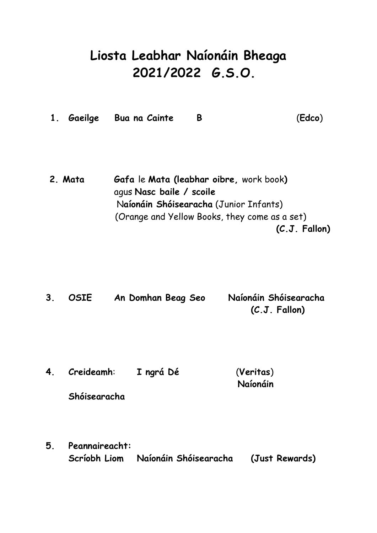# **Liosta Leabhar Naíonáin Bheaga 2021/2022 G.S.O.**

|  |  | 1. Gaeilge Bua na Cainte |  | (Edco) |
|--|--|--------------------------|--|--------|
|--|--|--------------------------|--|--------|

**2. Mata Gafa** le **Mata (leabhar oibre,** work book**)** agus **Nasc baile / scoile** N**aíonáin Shóisearacha** (Junior Infants) (Orange and Yellow Books, they come as a set)  **(C.J. Fallon)**

**3. OSIE An Domhan Beag Seo Naíonáin Shóisearacha (C.J. Fallon)**

- **4. Creideamh**: **I ngrá Dé** (**Veritas**) **Naíonáin Shóisearacha**
- **5. Peannaireacht: Scríobh Liom Naíonáin Shóisearacha (Just Rewards)**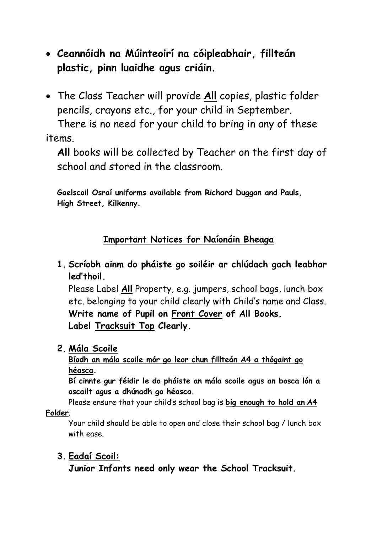- **Ceannóidh na Múinteoirí na cóipleabhair, fillteán plastic, pinn luaidhe agus criáin.**
- The Class Teacher will provide **All** copies, plastic folder pencils, crayons etc., for your child in September.

There is no need for your child to bring in any of these items.

**All** books will be collected by Teacher on the first day of school and stored in the classroom.

**Gaelscoil Osraí uniforms available from Richard Duggan and Pauls, High Street, Kilkenny.**

# **Important Notices for Naíonáin Bheaga**

**1. Scríobh ainm do pháiste go soiléir ar chlúdach gach leabhar led'thoil.**

Please Label **All** Property, e.g. jumpers, school bags, lunch box etc. belonging to your child clearly with Child's name and Class. **Write name of Pupil on Front Cover of All Books. Label Tracksuit Top Clearly.**

**2. Mála Scoile**

**Bíodh an mála scoile mór go leor chun fillteán A4 a thógaint go héasca.** 

**Bí cinnte gur féidir le do pháiste an mála scoile agus an bosca lón a oscailt agus a dhúnadh go héasca.**

Please ensure that your child's school bag is **big enough to hold an A4** 

## **Folder**.

Your child should be able to open and close their school bag / lunch box with ease.

# **3. Eadaí Scoil:**

**Junior Infants need only wear the School Tracksuit.**